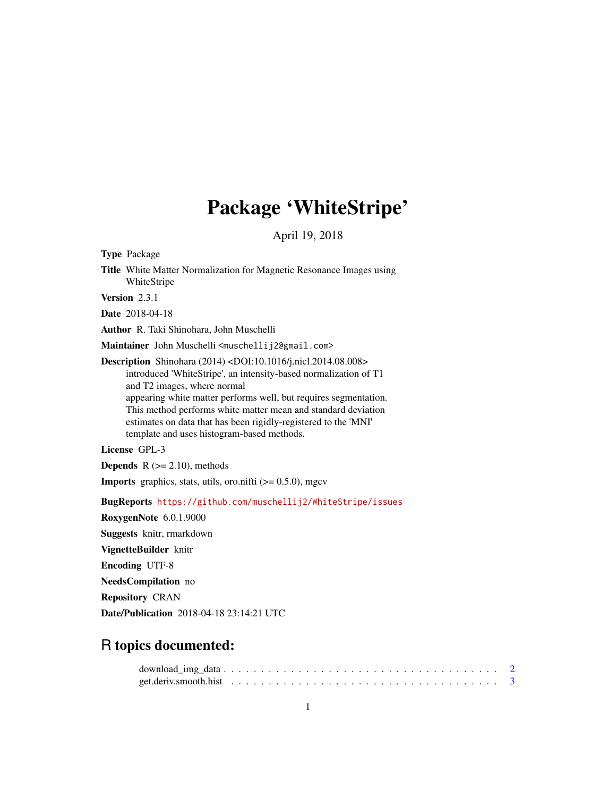# Package 'WhiteStripe'

April 19, 2018

<span id="page-0-0"></span>Type Package

Title White Matter Normalization for Magnetic Resonance Images using WhiteStripe

Version 2.3.1

Date 2018-04-18

Author R. Taki Shinohara, John Muschelli

Maintainer John Muschelli <muschellij2@gmail.com>

Description Shinohara (2014) <DOI:10.1016/j.nicl.2014.08.008> introduced 'WhiteStripe', an intensity-based normalization of T1 and T2 images, where normal appearing white matter performs well, but requires segmentation. This method performs white matter mean and standard deviation estimates on data that has been rigidly-registered to the 'MNI' template and uses histogram-based methods.

License GPL-3

**Depends**  $R$  ( $>= 2.10$ ), methods

**Imports** graphics, stats, utils, oro.nifti  $(>= 0.5.0)$ , mgcv

BugReports <https://github.com/muschellij2/WhiteStripe/issues>

RoxygenNote 6.0.1.9000

Suggests knitr, rmarkdown

VignetteBuilder knitr

Encoding UTF-8

NeedsCompilation no

Repository CRAN

Date/Publication 2018-04-18 23:14:21 UTC

# R topics documented: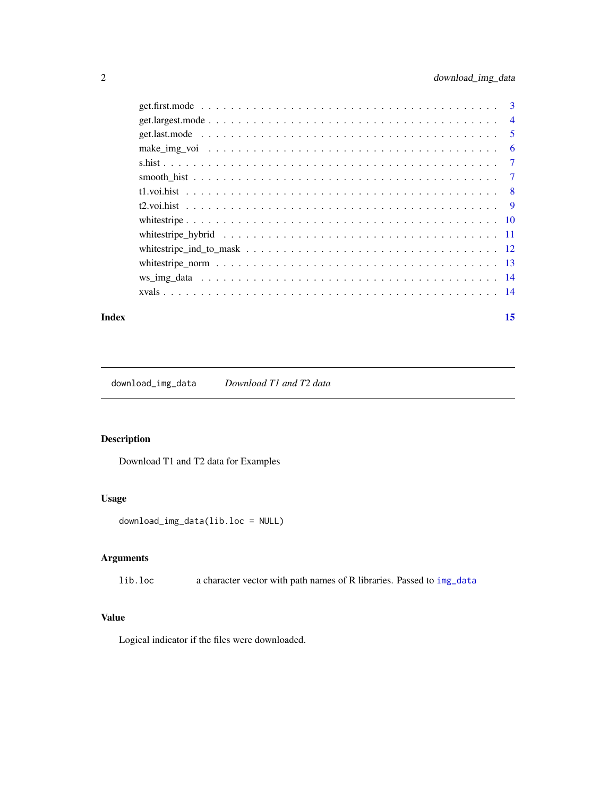<span id="page-1-0"></span>

| make img voi $\dots \dots \dots \dots \dots \dots \dots \dots \dots \dots \dots \dots \dots \dots \dots \dots$ |  |
|----------------------------------------------------------------------------------------------------------------|--|
|                                                                                                                |  |
|                                                                                                                |  |
|                                                                                                                |  |
|                                                                                                                |  |
|                                                                                                                |  |
|                                                                                                                |  |
|                                                                                                                |  |
| whitestripe norm $\ldots \ldots \ldots \ldots \ldots \ldots \ldots \ldots \ldots \ldots \ldots \ldots$         |  |
|                                                                                                                |  |
|                                                                                                                |  |
|                                                                                                                |  |

#### **Index** [15](#page-14-0)

download\_img\_data *Download T1 and T2 data*

# Description

Download T1 and T2 data for Examples

# Usage

download\_img\_data(lib.loc = NULL)

# Arguments

lib.loc a character vector with path names of R libraries. Passed to [img\\_data](#page-0-0)

# Value

Logical indicator if the files were downloaded.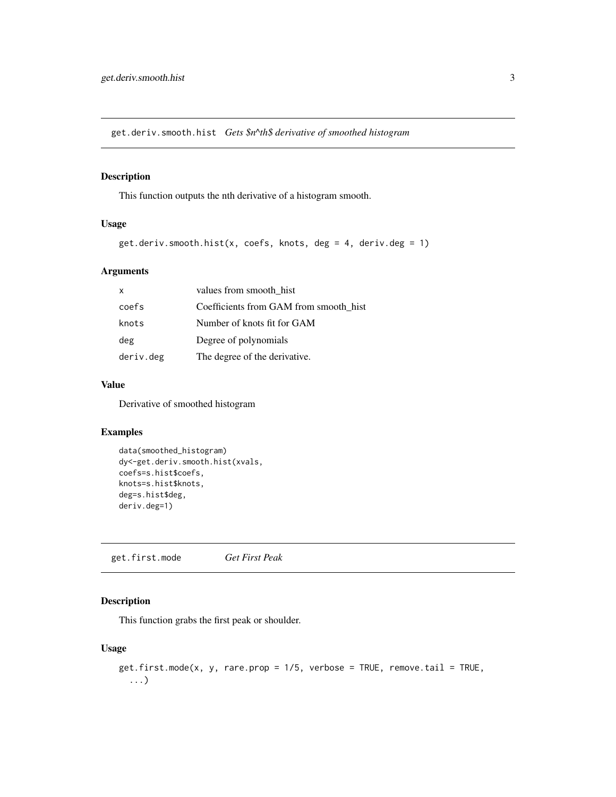<span id="page-2-0"></span>get.deriv.smooth.hist *Gets \$n^th\$ derivative of smoothed histogram*

# Description

This function outputs the nth derivative of a histogram smooth.

# Usage

```
get.deriv.smooth.hist(x, coefs, knots, deg = 4, deriv.deg = 1)
```
# Arguments

| X         | values from smooth hist                |
|-----------|----------------------------------------|
| coefs     | Coefficients from GAM from smooth hist |
| knots     | Number of knots fit for GAM            |
| deg       | Degree of polynomials                  |
| deriv.deg | The degree of the derivative.          |

#### Value

Derivative of smoothed histogram

# Examples

```
data(smoothed_histogram)
dy<-get.deriv.smooth.hist(xvals,
coefs=s.hist$coefs,
knots=s.hist$knots,
deg=s.hist$deg,
deriv.deg=1)
```
get.first.mode *Get First Peak*

# Description

This function grabs the first peak or shoulder.

# Usage

```
get.first.mode(x, y, rare.prop = 1/5, verbose = TRUE, remove.tail = TRUE,...)
```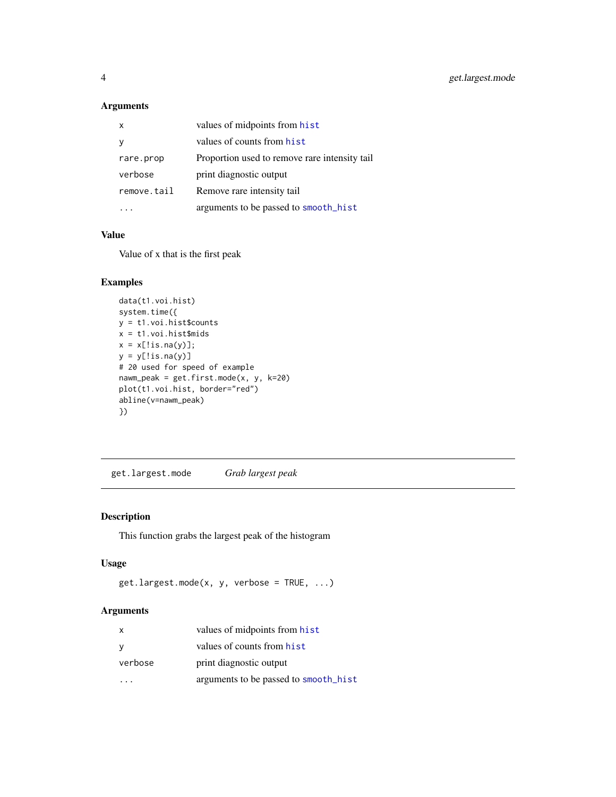# Arguments

|             | values of midpoints from hist                 |
|-------------|-----------------------------------------------|
|             | values of counts from hist                    |
| rare.prop   | Proportion used to remove rare intensity tail |
| verbose     | print diagnostic output                       |
| remove.tail | Remove rare intensity tail                    |
|             | arguments to be passed to smooth_hist         |

# Value

Value of x that is the first peak

# Examples

```
data(t1.voi.hist)
system.time({
y = t1.voi.hist$counts
x = t1.voi.hist$mids
x = x[!is.na(y)];
y = y[!is.na(y)]
# 20 used for speed of example
nawm_peak = get.first.mode(x, y, k=20)
plot(t1.voi.hist, border="red")
abline(v=nawm_peak)
})
```
get.largest.mode *Grab largest peak*

# Description

This function grabs the largest peak of the histogram

# Usage

```
getuargest.mode(x, y, verbose = TRUE, \ldots)
```
# Arguments

| x       | values of midpoints from hist         |
|---------|---------------------------------------|
| У       | values of counts from hist            |
| verbose | print diagnostic output               |
|         | arguments to be passed to smooth_hist |

<span id="page-3-0"></span>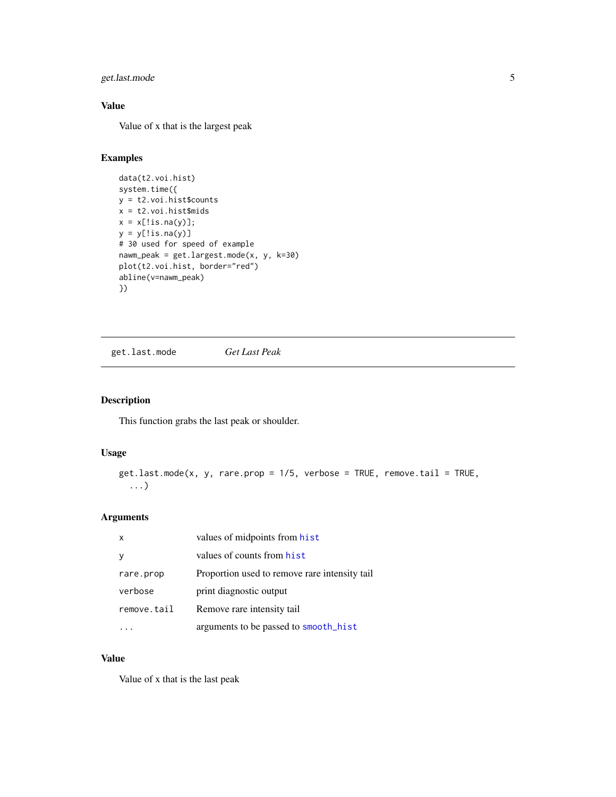# <span id="page-4-0"></span>get.last.mode 5

# Value

Value of x that is the largest peak

# Examples

```
data(t2.voi.hist)
system.time({
y = t2.voi.hist$counts
x = t2. voi. hist$mids
x = x[!is.na(y)];
y = y[!is.na(y)]
# 30 used for speed of example
nawm_peak = get.largest.mode(x, y, k=30)
plot(t2.voi.hist, border="red")
abline(v=nawm_peak)
})
```
<span id="page-4-1"></span>get.last.mode *Get Last Peak*

#### Description

This function grabs the last peak or shoulder.

# Usage

```
get.last.mode(x, y, rare.prop = 1/5, verbose = TRUE, remove.tail = TRUE,
  ...)
```
# Arguments

| $\times$    | values of midpoints from hist                 |
|-------------|-----------------------------------------------|
|             | values of counts from hist                    |
| rare.prop   | Proportion used to remove rare intensity tail |
| verbose     | print diagnostic output                       |
| remove.tail | Remove rare intensity tail                    |
|             | arguments to be passed to smooth_hist         |

# Value

Value of x that is the last peak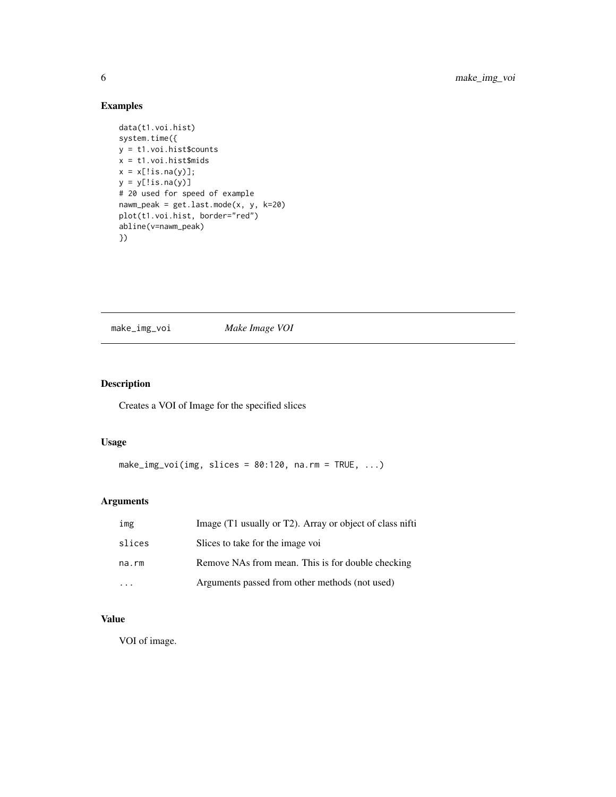# Examples

```
data(t1.voi.hist)
system.time({
y = t1.voi.hist$counts
x = t1. voi. hist$mids
x = x[:is.na(y)];y = y[!is.na(y)]
# 20 used for speed of example
nawm_peak = get.last.mode(x, y, k=20)
plot(t1.voi.hist, border="red")
abline(v=nawm_peak)
})
```
<span id="page-5-1"></span>make\_img\_voi *Make Image VOI*

# Description

Creates a VOI of Image for the specified slices

## Usage

```
make_img_voi(img, slices = 80:120, na.rm = TRUE, ...)
```
# Arguments

| img    | Image (T1 usually or T2). Array or object of class nifti |
|--------|----------------------------------------------------------|
| slices | Slices to take for the image voi                         |
| na.rm  | Remove NAs from mean. This is for double checking        |
|        | Arguments passed from other methods (not used)           |

# Value

VOI of image.

<span id="page-5-0"></span>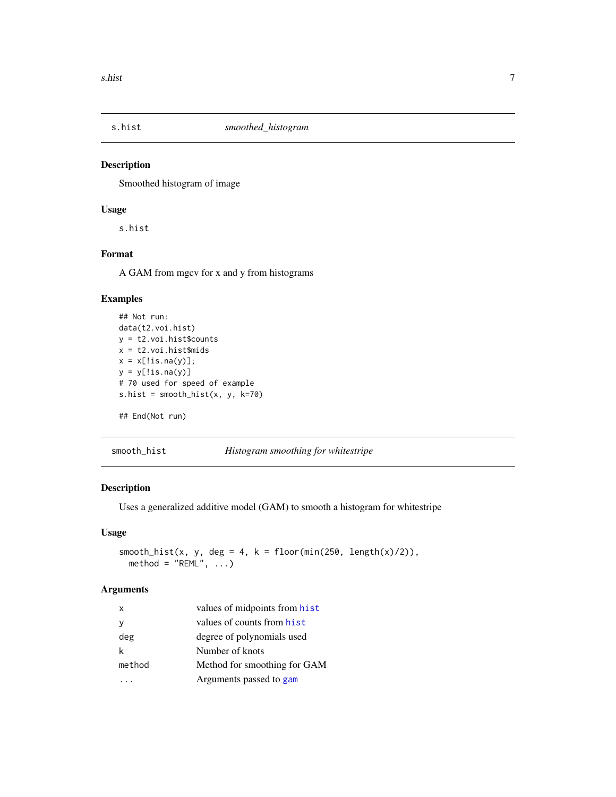<span id="page-6-0"></span>

# Description

Smoothed histogram of image

# Usage

s.hist

# Format

A GAM from mgcv for x and y from histograms

# Examples

```
## Not run:
data(t2.voi.hist)
y = t2.voi.hist$counts
x = t2.voi.hist$midsx = x[!is.na(y)];
y = y[!is.na(y)]
# 70 used for speed of example
s.hist = smooth_hist(x, y, k=70)
```
## End(Not run)

<span id="page-6-1"></span>smooth\_hist *Histogram smoothing for whitestripe*

# Description

Uses a generalized additive model (GAM) to smooth a histogram for whitestripe

# Usage

```
smooth_hist(x, y, deg = 4, k = floor(min(250, length(x)/2)),
 method = "REML", ...)
```
#### Arguments

| $\mathsf{x}$ | values of midpoints from hist |
|--------------|-------------------------------|
|              | values of counts from hist    |
| deg          | degree of polynomials used    |
|              | Number of knots               |
| method       | Method for smoothing for GAM  |
|              | Arguments passed to gam       |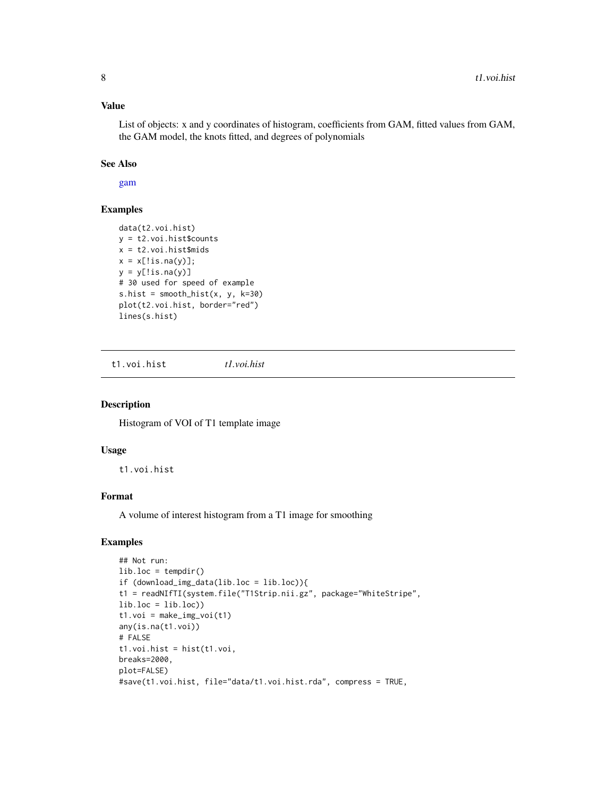#### <span id="page-7-0"></span>Value

List of objects: x and y coordinates of histogram, coefficients from GAM, fitted values from GAM, the GAM model, the knots fitted, and degrees of polynomials

#### See Also

[gam](#page-0-0)

# Examples

```
data(t2.voi.hist)
y = t2.voi.hist$counts
x = t2.voi.hist$mids
x = x[!is.na(y)];
y = y[!is.na(y)]
# 30 used for speed of example
s.hist = smooth_hist(x, y, k=30)plot(t2.voi.hist, border="red")
lines(s.hist)
```
t1.voi.hist *t1.voi.hist*

### Description

Histogram of VOI of T1 template image

#### Usage

t1.voi.hist

#### Format

A volume of interest histogram from a T1 image for smoothing

#### Examples

```
## Not run:
lib.loc = tempdir()if (download_img_data(lib.loc = lib.loc)){
t1 = readNIfTI(system.file("T1Strip.nii.gz", package="WhiteStripe",
lib.loc = lib.loc)t1.voi = make\_img\_voi(t1)any(is.na(t1.voi))
# FALSE
t1.voi.hist = hist(t1.voi,
breaks=2000,
plot=FALSE)
#save(t1.voi.hist, file="data/t1.voi.hist.rda", compress = TRUE,
```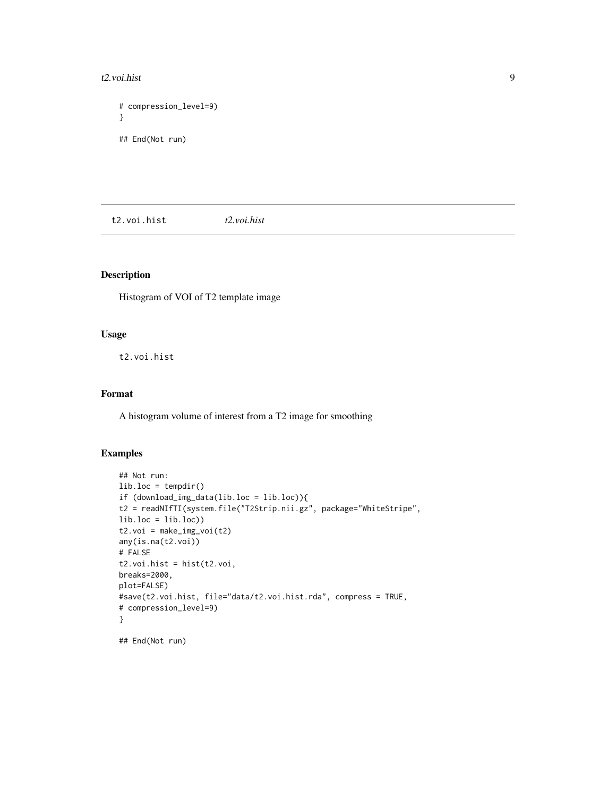#### <span id="page-8-0"></span> $t2.\text{voi.hist}$  9

```
# compression_level=9)
}
## End(Not run)
```
t2.voi.hist *t2.voi.hist*

# Description

Histogram of VOI of T2 template image

# Usage

t2.voi.hist

# Format

A histogram volume of interest from a T2 image for smoothing

# Examples

```
## Not run:
lib.loc = tempdir()if (download_img_data(lib.loc = lib.loc)){
t2 = readNIfTI(system.file("T2Strip.nii.gz", package="WhiteStripe",
lib.loc = lib.loc))
t2.voi = make\_img\_voi(t2)any(is.na(t2.voi))
# FALSE
t2.voi.hist = hist(t2.voi,
breaks=2000,
plot=FALSE)
#save(t2.voi.hist, file="data/t2.voi.hist.rda", compress = TRUE,
# compression_level=9)
}
```
## End(Not run)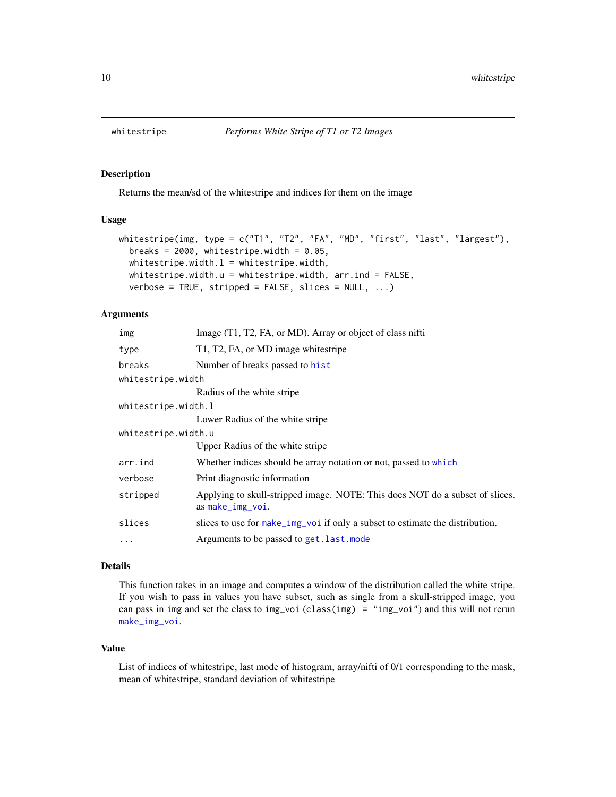<span id="page-9-1"></span><span id="page-9-0"></span>

#### Description

Returns the mean/sd of the whitestripe and indices for them on the image

#### Usage

```
whitestripe(img, type = c("T1", "T2", "FA", "MD", "first", "last", "largest"),
 breaks = 2000, whitestripe.width = 0.05,
 whitestripe.width.l = whitestripe.width,
 whitestripe.width.u = whitestripe.width, arr.ind = FALSE,
  verbose = TRUE, stripped = FALSE, slices = NULL, ...)
```
#### Arguments

| img                 | Image (T1, T2, FA, or MD). Array or object of class nifti                                          |
|---------------------|----------------------------------------------------------------------------------------------------|
| type                | T1, T2, FA, or MD image whitestripe                                                                |
| breaks              | Number of breaks passed to hist                                                                    |
| whitestripe.width   |                                                                                                    |
|                     | Radius of the white stripe                                                                         |
| whitestripe.width.l |                                                                                                    |
|                     | Lower Radius of the white stripe                                                                   |
| whitestripe.width.u |                                                                                                    |
|                     | Upper Radius of the white stripe                                                                   |
| arr.ind             | Whether indices should be array notation or not, passed to which                                   |
| verbose             | Print diagnostic information                                                                       |
| stripped            | Applying to skull-stripped image. NOTE: This does NOT do a subset of slices,<br>$as$ make_img_voi. |
| slices              | slices to use for make_img_voi if only a subset to estimate the distribution.                      |
| $\ddots$            | Arguments to be passed to get. last. mode                                                          |
|                     |                                                                                                    |

#### Details

This function takes in an image and computes a window of the distribution called the white stripe. If you wish to pass in values you have subset, such as single from a skull-stripped image, you can pass in img and set the class to img\_voi (class(img) = "img\_voi") and this will not rerun [make\\_img\\_voi](#page-5-1).

#### Value

List of indices of whitestripe, last mode of histogram, array/nifti of 0/1 corresponding to the mask, mean of whitestripe, standard deviation of whitestripe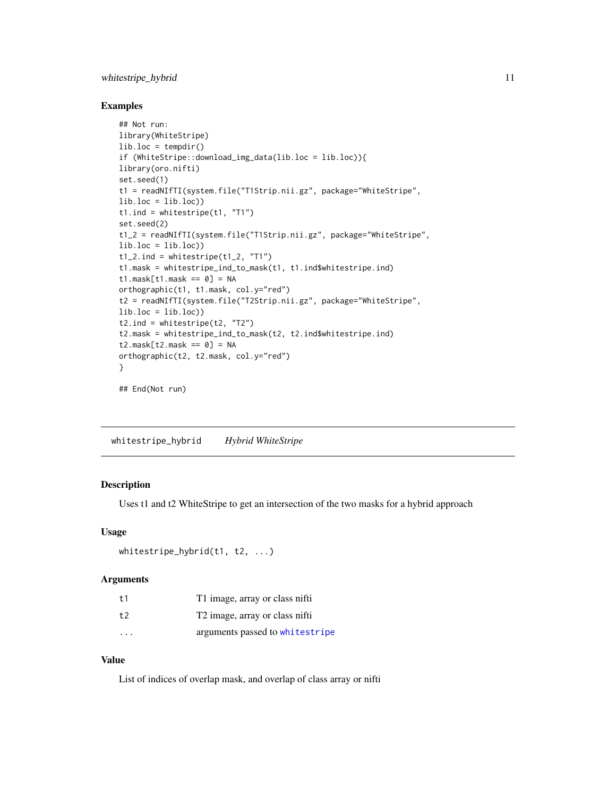# <span id="page-10-0"></span>whitestripe\_hybrid 11

#### Examples

```
## Not run:
library(WhiteStripe)
lib.loc = tempdir()
if (WhiteStripe::download_img_data(lib.loc = lib.loc)){
library(oro.nifti)
set.seed(1)
t1 = readNIfTI(system.file("T1Strip.nii.gz", package="WhiteStripe",
lib.loc = lib.loc)t1.ind = whitestripe(t1, "T1")
set.seed(2)
t1_2 = readNIfTI(system.file("T1Strip.nii.gz", package="WhiteStripe",
lib.loc = lib.loc)t1_2.ind = whitestripe(t1_2, 'T1'')t1.mask = whitestripe_ind_to_mask(t1, t1.ind$whitestripe.ind)
t1.mask[t1.mack = 0] = NAorthographic(t1, t1.mask, col.y="red")
t2 = readNIfTI(system.file("T2Strip.nii.gz", package="WhiteStripe",
lib.loc = lib.loc)t2.ind = whitestripe(t2, "T2")
t2.mask = whitestripe_ind_to_mask(t2, t2.ind$whitestripe.ind)
t2.\text{mask}[t2.\text{mask} == 0] = NAorthographic(t2, t2.mask, col.y="red")
}
## End(Not run)
```
whitestripe\_hybrid *Hybrid WhiteStripe*

#### Description

Uses t1 and t2 WhiteStripe to get an intersection of the two masks for a hybrid approach

# Usage

```
whitestripe_hybrid(t1, t2, ...)
```
#### Arguments

| t1                      | T1 image, array or class nifti             |
|-------------------------|--------------------------------------------|
| t2                      | T <sub>2</sub> image, array or class nifti |
| $\cdot$ $\cdot$ $\cdot$ | arguments passed to whitestripe            |

# Value

List of indices of overlap mask, and overlap of class array or nifti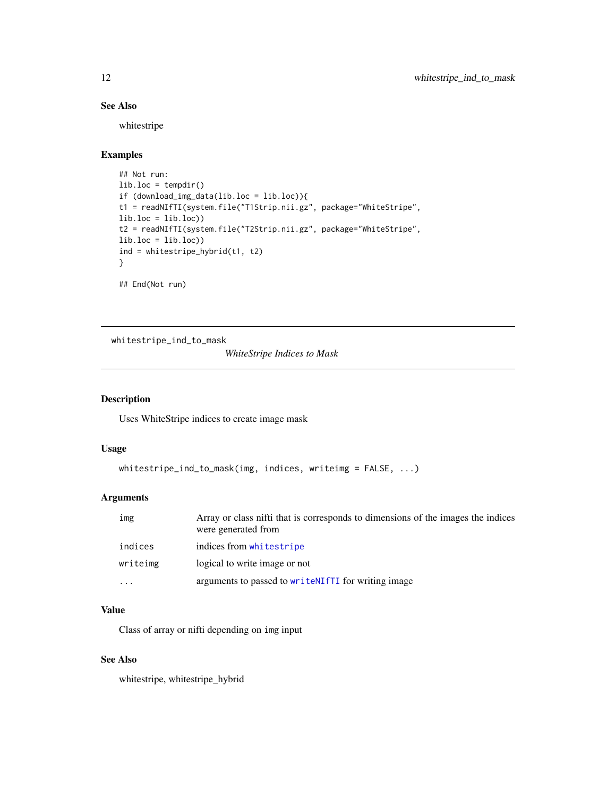# See Also

whitestripe

# Examples

```
## Not run:
lib.loc = tempdir()
if (download_img_data(lib.loc = lib.loc)){
t1 = readNIfTI(system.file("T1Strip.nii.gz", package="WhiteStripe",
lib.loc = lib.loc)t2 = readNIfTI(system.file("T2Strip.nii.gz", package="WhiteStripe",
lib.loc = lib.loc)ind = whitestripe_hybrid(t1, t2)
}
## End(Not run)
```
whitestripe\_ind\_to\_mask

*WhiteStripe Indices to Mask*

# Description

Uses WhiteStripe indices to create image mask

# Usage

```
whitestripe_ind_to_mask(img, indices, writeimg = FALSE, ...)
```
# Arguments

| img       | Array or class nifti that is corresponds to dimensions of the images the indices<br>were generated from |
|-----------|---------------------------------------------------------------------------------------------------------|
| indices   | indices from whitestripe                                                                                |
| writeimg  | logical to write image or not                                                                           |
| $\ddotsc$ | arguments to passed to write NIfTI for writing image                                                    |

# Value

Class of array or nifti depending on img input

# See Also

whitestripe, whitestripe\_hybrid

<span id="page-11-0"></span>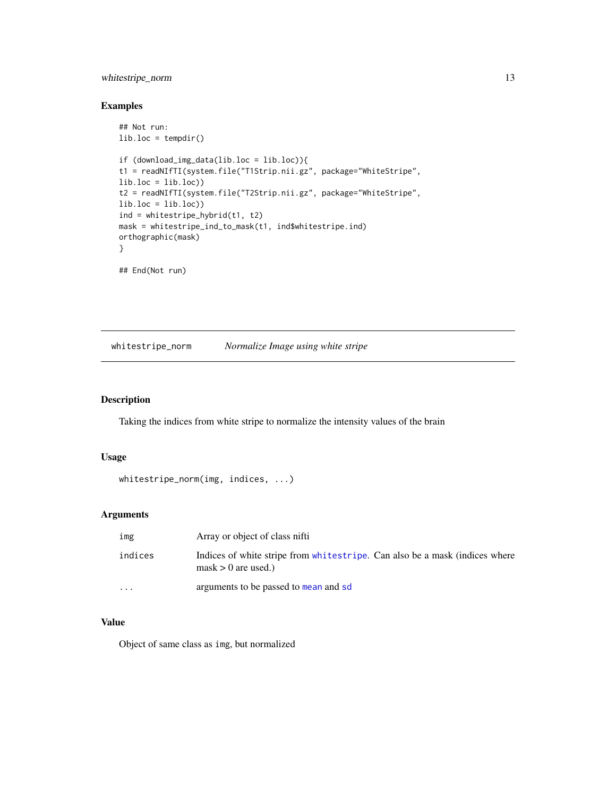# <span id="page-12-0"></span>whitestripe\_norm 13

### Examples

```
## Not run:
lib.loc = tempdir()
if (download_img_data(lib.loc = lib.loc)){
t1 = readNIfTI(system.file("T1Strip.nii.gz", package="WhiteStripe",
lib.loc = lib.loc))
t2 = readNIfTI(system.file("T2Strip.nii.gz", package="WhiteStripe",
lib.loc = lib.loc)ind = whitestripe_hybrid(t1, t2)
mask = whitestripe_ind_to_mask(t1, ind$whitestripe.ind)
orthographic(mask)
}
## End(Not run)
```
whitestripe\_norm *Normalize Image using white stripe*

#### Description

Taking the indices from white stripe to normalize the intensity values of the brain

#### Usage

```
whitestripe_norm(img, indices, ...)
```
# Arguments

| img      | Array or object of class nifti                                                                              |
|----------|-------------------------------------------------------------------------------------------------------------|
| indices  | Indices of white stripe from whitestripe. Can also be a mask (indices where<br>$\text{mask} > 0$ are used.) |
| $\cdots$ | arguments to be passed to mean and sd                                                                       |

# Value

Object of same class as img, but normalized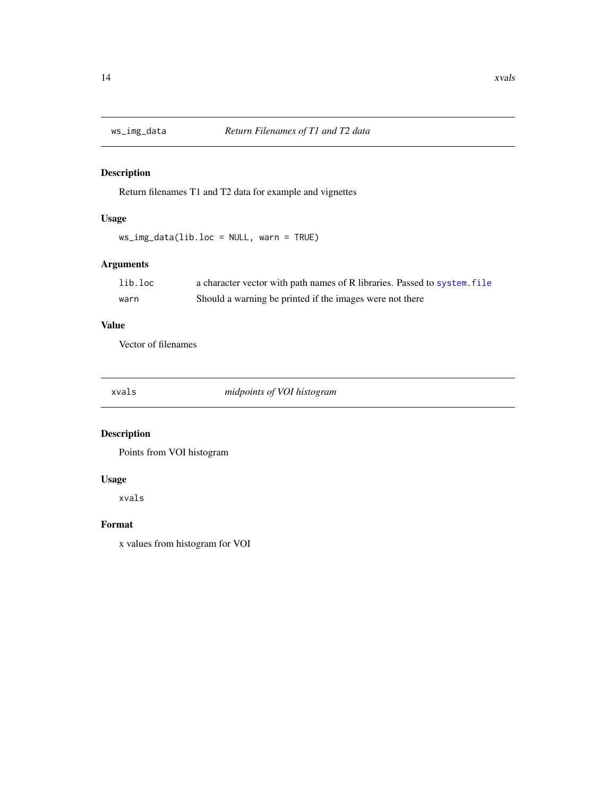<span id="page-13-0"></span>

# Description

Return filenames T1 and T2 data for example and vignettes

# Usage

ws\_img\_data(lib.loc = NULL, warn = TRUE)

# Arguments

| lib.loc | a character vector with path names of R libraries. Passed to system. file |
|---------|---------------------------------------------------------------------------|
| warn    | Should a warning be printed if the images were not there                  |

# Value

Vector of filenames

xvals *midpoints of VOI histogram*

# Description

Points from VOI histogram

# Usage

xvals

# Format

x values from histogram for VOI